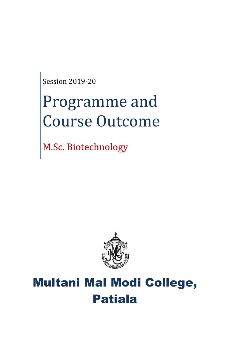Session 2019-20

# Programme and Course Outcome

M.Sc. Biotechnology



## Multani Mal Modi College, Patiala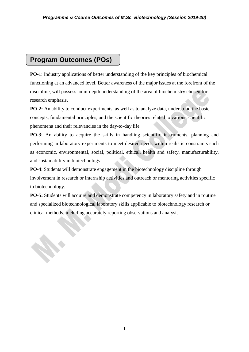### **Program Outcomes (POs)**

**PO-1**: Industry applications of better understanding of the key principles of biochemical functioning at an advanced level. Better awareness of the major issues at the forefront of the discipline, will possess an in-depth understanding of the area of biochemistry chosen for research emphasis.

**PO-2:** An ability to conduct experiments, as well as to analyze data, understood the basic concepts, fundamental principles, and the scientific theories related to various scientific phenomena and their relevancies in the day-to-day life

**PO-3**: An ability to acquire the skills in handling scientific instruments, planning and performing in laboratory experiments to meet desired needs within realistic constraints such as economic, environmental, social, political, ethical, health and safety, manufacturability, and sustainability in biotechnology

**PO-4**: Students will demonstrate engagement in the biotechnology discipline through involvement in research or internship activities and outreach or mentoring activities specific to biotechnology.

**PO-5:** Students will acquire and demonstrate competency in laboratory safety and in routine and specialized biotechnological laboratory skills applicable to biotechnology research or clinical methods, including accurately reporting observations and analysis.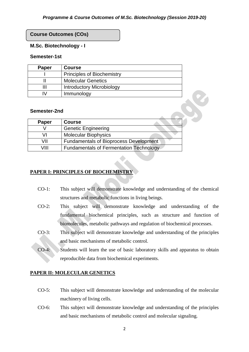#### **Course Outcomes (COs)**

#### **M.Sc. Biotechnology - I**

#### **Semester-1st**

| Paper | <b>Course</b>                     |
|-------|-----------------------------------|
|       | <b>Principles of Biochemistry</b> |
|       | <b>Molecular Genetics</b>         |
| Ш     | <b>Introductory Microbiology</b>  |
| ۱V    | Immunology                        |

#### **Semester-2nd**

| Paper | <b>Course</b>                                  |
|-------|------------------------------------------------|
|       | <b>Genetic Engineering</b>                     |
| VI    | <b>Molecular Biophysics</b>                    |
| /II   | <b>Fundamentals of Bioprocess Development</b>  |
| \/III | <b>Fundamentals of Fermentation Technology</b> |

#### **PAPER I: PRINCIPLES OF BIOCHEMISTRY**

- CO-1: This subject will demonstrate knowledge and understanding of the chemical structures and metabolic functions in living beings.
- CO-2: This subject will demonstrate knowledge and understanding of the fundamental biochemical principles, such as structure and function of biomolecules, metabolic pathways and regulation of biochemical processes.
- CO-3: This subject will demonstrate knowledge and understanding of the principles and basic mechanisms of metabolic control.
- CO-4: Students will learn the use of basic laboratory skills and apparatus to obtain reproducible data from biochemical experiments.

#### **PAPER II: MOLECULAR GENETICS**

- CO-5: This subject will demonstrate knowledge and understanding of the molecular machinery of living cells.
- CO-6: This subject will demonstrate knowledge and understanding of the principles and basic mechanisms of metabolic control and molecular signaling.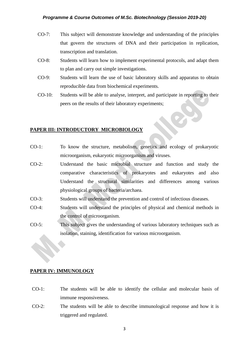- CO-7: This subject will demonstrate knowledge and understanding of the principles that govern the structures of DNA and their participation in replication, transcription and translation.
- CO-8: Students will learn how to implement experimental protocols, and adapt them to plan and carry out simple investigations.
- CO-9: Students will learn the use of basic laboratory skills and apparatus to obtain reproducible data from biochemical experiments.
- CO-10: Students will be able to analyse, interpret, and participate in reporting to their peers on the results of their laboratory experiments;

#### **PAPER III: INTRODUCTORY MICROBIOLOGY**

- CO-1: To know the structure, metabolism, genetics and ecology of prokaryotic microorganism, eukaryotic microorganism and viruses.
- CO-2: Understand the basic microbial structure and function and study the comparative characteristics of prokaryotes and eukaryotes and also Understand the structural similarities and differences among various physiological groups of bacteria/archaea.
- CO-3: Students will understand the prevention and control of infectious diseases.
- CO-4: Students will understand the principles of physical and chemical methods in the control of microorganism.
- CO-5: This subject gives the understanding of various laboratory techniques such as isolation, staining, identification for various microorganism.

#### **PAPER IV: IMMUNOLOGY**

- CO-1: The students will be able to identify the cellular and molecular basis of immune responsiveness.
- CO-2: The students will be able to describe immunological response and how it is triggered and regulated.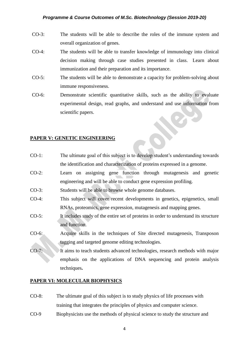- CO-3: The students will be able to describe the roles of the immune system and overall organization of genes.
- CO-4: The students will be able to transfer knowledge of immunology into clinical decision making through case studies presented in class. Learn about immunization and their preparation and its importance.
- CO-5: The students will be able to demonstrate a capacity for problem-solving about immune responsiveness.
- CO-6: Demonstrate scientific quantitative skills, such as the ability to evaluate experimental design, read graphs, and understand and use information from scientific papers.

#### **PAPER V: GENETIC ENGINEERING**

- CO-1: The ultimate goal of this subject is to develop student's understanding towards the identification and characterization of proteins expressed in a genome.
- CO-2: Learn on assigning gene function through mutagenesis and genetic engineering and will be able to conduct gene expression profiling.
- CO-3: Students will be able to browse whole genome databases.
- CO-4: This subject will cover recent developments in genetics, epigenetics, small RNAs, proteomics, gene expression, mutagenesis and mapping genes.
- CO-5: It includes study of the entire set of proteins in order to understand its structure and function.
- CO-6: Acquire skills in the techniques of Site directed mutagenesis, Transposon tagging and targeted genome editing technologies.
- CO-7: It aims to teach students advanced technologies, research methods with major emphasis on the applications of DNA sequencing and protein analysis techniques**.**

#### **PAPER VI: MOLECULAR BIOPHYSICS**

- CO-8: The ultimate goal of this subject is to study physics of life processes with training that integrates the principles of physics and computer science.
- CO-9 Biophysicists use the methods of physical science to study the structure and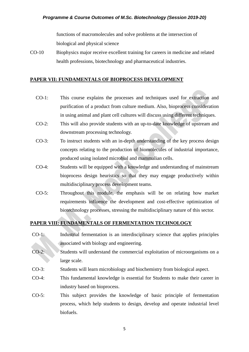functions of macromolecules and solve problems at the intersection of biological and physical science

CO-10 Biophysics major receive excellent training for careers in medicine and related health professions, biotechnology and pharmaceutical industries.

#### **PAPER VII: FUNDAMENTALS OF BIOPROCESS DEVELOPMENT**

- CO-1: This course explains the processes and techniques used for extraction and purification of a product from culture medium. Also, bioprocess consideration in using animal and plant cell cultures will discuss using different techniques.
- CO-2: This will also provide students with an up-to-date knowledge of upstream and downstream processing technology.
- CO-3: To instruct students with an in-depth understanding of the key process design concepts relating to the production of biomolecules of industrial importance, produced using isolated microbial and mammalian cells.
- CO-4: Students will be equipped with a knowledge and understanding of mainstream bioprocess design heuristics so that they may engage productively within multidisciplinary process development teams.
- CO-5: Throughout this module, the emphasis will be on relating how market requirements influence the development and cost-effective optimization of biotechnology processes, stressing the multidisciplinary nature of this sector.

#### **PAPER VIII: FUNDAMENTALS OF FERMENTATION TECHNOLOGY**

- CO-1: Industrial fermentation is an interdisciplinary science that applies principles associated with biology and engineering.
- CO-2: Students will understand the commercial exploitation of microorganisms on a large scale.
- CO-3: Students will learn microbiology and biochemistry from biological aspect.
- CO-4: This fundamental knowledge is essential for Students to make their career in industry based on bioprocess.
- CO-5: This subject provides the knowledge of basic principle of fermentation process, which help students to design, develop and operate industrial level biofuels.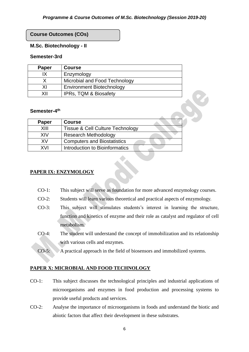#### **Course Outcomes (COs)**

#### **M.Sc. Biotechnology - II**

#### **Semester-3rd**

| Paper | <b>Course</b>                    |
|-------|----------------------------------|
| IΧ    | Enzymology                       |
|       | Microbial and Food Technology    |
| ΧI    | <b>Environment Biotechnology</b> |
| XII   | <b>IPRs, TQM &amp; Biosafety</b> |

#### Semester-4<sup>th</sup>

| <b>Paper</b> | <b>Course</b>                               |
|--------------|---------------------------------------------|
| XIII         | <b>Tissue &amp; Cell Culture Technology</b> |
| XIV          | <b>Research Methodology</b>                 |
| XV           | <b>Computers and Biostatistics</b>          |
| XVI          | Introduction to Bioinformatics              |

#### **PAPER IX: ENZYMOLOGY**

- CO-1: This subject will serve as foundation for more advanced enzymology courses.
- CO-2: Students will learn various theoretical and practical aspects of enzymology.
- CO-3: This subject will stimulates students's interest in learning the structure, function and kinetics of enzyme and their role as catalyst and regulator of cell metabolism.
- CO-4: The student will understand the concept of immobilization and its relationship with various cells and enzymes.
- CO-5: A practical approach in the field of biosensors and immobilized systems.

#### **PAPER X: MICROBIAL AND FOOD TECHNOLOGY**

- CO-1: This subject discusses the technological principles and industrial applications of microorganisms and enzymes in food production and processing systems to provide useful products and services.
- CO-2: Analyse the importance of microorganisms in foods and understand the biotic and abiotic factors that affect their development in these substrates.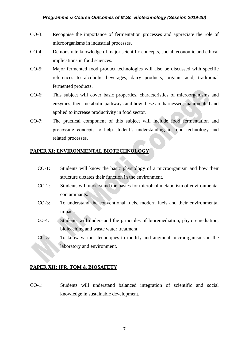- CO-3: Recognise the importance of fermentation processes and appreciate the role of microorganisms in industrial processes.
- CO-4: Demonstrate knowledge of major scientific concepts, social, economic and ethical implications in food sciences.
- CO-5: Major fermented food product technologies will also be discussed with specific references to alcoholic beverages, dairy products, organic acid, traditional fermented products.
- CO-6: This subject will cover basic properties, characteristics of microorganisms and enzymes, their metabolic pathways and how these are harnessed, manipulated and applied to increase productivity in food sector.
- CO-7: The practical component of this subject will include food fermentation and processing concepts to help student's understanding in food technology and related processes.

#### **PAPER XI: ENVIRONMENTAL BIOTECHNOLOGY**

- CO-1: Students will know the basic physiology of a microorganism and how their structure dictates their function in the environment.
- CO-2: Students will understand the basics for microbial metabolism of environmental contaminants.
- CO-3: To understand the conventional fuels, modern fuels and their environmental impact.
- CO-4: Students will understand the principles of bioremediation, phytoremediation, bioleaching and waste water treatment.
- CO-5: To know various techniques to modify and augment microorganisms in the laboratory and environment.

#### **PAPER XII: IPR, TQM & BIOSAFETY**

CO-1: Students will understand balanced integration of scientific and social knowledge in sustainable development.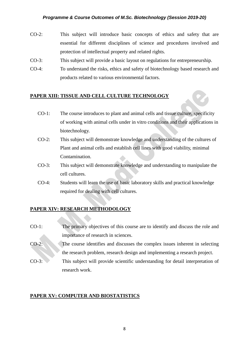- CO-2: This subject will introduce basic concepts of ethics and safety that are essential for different disciplines of science and procedures involved and protection of intellectual property and related rights.
- CO-3: This subject will provide a basic layout on regulations for entrepreneurship.
- CO-4: To understand the risks, ethics and safety of biotechnology based research and products related to various environmental factors.

#### **PAPER XIII: TISSUE AND CELL CULTURE TECHNOLOGY**

- CO-1: The course introduces to plant and animal cells and tissue culture, specificity of working with animal cells under in vitro conditions and their applications in biotechnology.
- CO-2: This subject will demonstrate knowledge and understanding of the cultures of Plant and animal cells and establish cell lines with good viability, minimal Contamination.
- CO-3: This subject will demonstrate knowledge and understanding to manipulate the cell cultures.
- CO-4: Students will learn the use of basic laboratory skills and practical knowledge required for dealing with cell cultures.

#### **PAPER XIV: RESEARCH METHODOLOGY**

- CO-1: The primary objectives of this course are to identify and discuss the role and importance of research in sciences.
- CO-2: The course identifies and discusses the complex issues inherent in selecting the research problem, research design and implementing a research project.
- CO-3: This subject will provide scientific understanding for detail interpretation of research work.

#### **PAPER XV: COMPUTER AND BIOSTATISTICS**